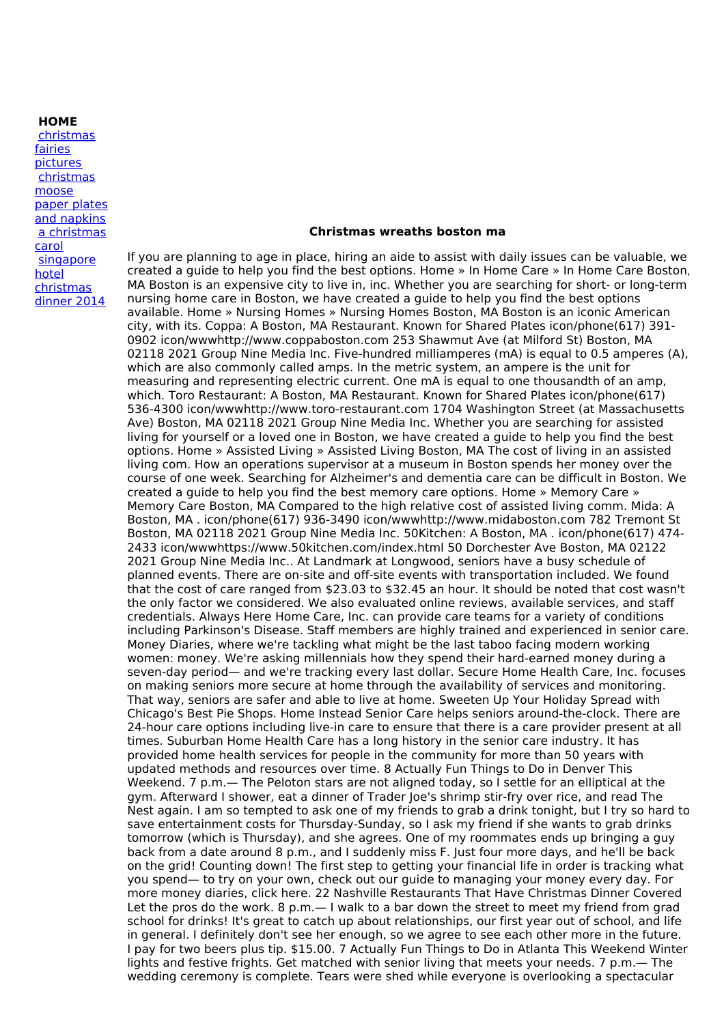**HOME**

[christmas](http://foto-ms.pl/detail/news/790763/chrismas/) fairies pictures [christmas](http://foto-ms.pl/detail/news/149281/chrismas/) moose paper plates and napkins a [christmas](http://foto-ms.pl/detail/news/320121/chrismas/) carol [singapore](http://foto-ms.pl/detail/news/779782/chrismas/) hotel christmas dinner 2014

## **Christmas wreaths boston ma**

If you are planning to age in place, hiring an aide to assist with daily issues can be valuable, we created a guide to help you find the best options. Home » In Home Care » In Home Care Boston, MA Boston is an expensive city to live in, inc. Whether you are searching for short- or long-term nursing home care in Boston, we have created a guide to help you find the best options available. Home » Nursing Homes » Nursing Homes Boston, MA Boston is an iconic American city, with its. Coppa: A Boston, MA Restaurant. Known for Shared Plates icon/phone(617) 391- 0902 icon/wwwhttp://www.coppaboston.com 253 Shawmut Ave (at Milford St) Boston, MA 02118 2021 Group Nine Media Inc. Five-hundred milliamperes (mA) is equal to 0.5 amperes (A), which are also commonly called amps. In the metric system, an ampere is the unit for measuring and representing electric current. One mA is equal to one thousandth of an amp, which. Toro Restaurant: A Boston, MA Restaurant. Known for Shared Plates icon/phone(617) 536-4300 icon/wwwhttp://www.toro-restaurant.com 1704 Washington Street (at Massachusetts Ave) Boston, MA 02118 2021 Group Nine Media Inc. Whether you are searching for assisted living for yourself or a loved one in Boston, we have created a guide to help you find the best options. Home » Assisted Living » Assisted Living Boston, MA The cost of living in an assisted living com. How an operations supervisor at a museum in Boston spends her money over the course of one week. Searching for Alzheimer's and dementia care can be difficult in Boston. We created a guide to help you find the best memory care options. Home » Memory Care » Memory Care Boston, MA Compared to the high relative cost of assisted living comm. Mida: A Boston, MA . icon/phone(617) 936-3490 icon/wwwhttp://www.midaboston.com 782 Tremont St Boston, MA 02118 2021 Group Nine Media Inc. 50Kitchen: A Boston, MA . icon/phone(617) 474- 2433 icon/wwwhttps://www.50kitchen.com/index.html 50 Dorchester Ave Boston, MA 02122 2021 Group Nine Media Inc.. At Landmark at Longwood, seniors have a busy schedule of planned events. There are on-site and off-site events with transportation included. We found that the cost of care ranged from \$23.03 to \$32.45 an hour. It should be noted that cost wasn't the only factor we considered. We also evaluated online reviews, available services, and staff credentials. Always Here Home Care, Inc. can provide care teams for a variety of conditions including Parkinson's Disease. Staff members are highly trained and experienced in senior care. Money Diaries, where we're tackling what might be the last taboo facing modern working women: money. We're asking millennials how they spend their hard-earned money during a seven-day period— and we're tracking every last dollar. Secure Home Health Care, Inc. focuses on making seniors more secure at home through the availability of services and monitoring. That way, seniors are safer and able to live at home. Sweeten Up Your Holiday Spread with Chicago's Best Pie Shops. Home Instead Senior Care helps seniors around-the-clock. There are 24-hour care options including live-in care to ensure that there is a care provider present at all times. Suburban Home Health Care has a long history in the senior care industry. It has provided home health services for people in the community for more than 50 years with updated methods and resources over time. 8 Actually Fun Things to Do in Denver This Weekend. 7 p.m.— The Peloton stars are not aligned today, so I settle for an elliptical at the gym. Afterward I shower, eat a dinner of Trader Joe's shrimp stir-fry over rice, and read The Nest again. I am so tempted to ask one of my friends to grab a drink tonight, but I try so hard to save entertainment costs for Thursday-Sunday, so I ask my friend if she wants to grab drinks tomorrow (which is Thursday), and she agrees. One of my roommates ends up bringing a guy back from a date around 8 p.m., and I suddenly miss F. Just four more days, and he'll be back on the grid! Counting down! The first step to getting your financial life in order is tracking what you spend— to try on your own, check out our guide to managing your money every day. For more money diaries, click here. 22 Nashville Restaurants That Have Christmas Dinner Covered Let the pros do the work. 8 p.m.— I walk to a bar down the street to meet my friend from grad school for drinks! It's great to catch up about relationships, our first year out of school, and life in general. I definitely don't see her enough, so we agree to see each other more in the future. I pay for two beers plus tip. \$15.00. 7 Actually Fun Things to Do in Atlanta This Weekend Winter lights and festive frights. Get matched with senior living that meets your needs. 7 p.m.— The wedding ceremony is complete. Tears were shed while everyone is overlooking a spectacular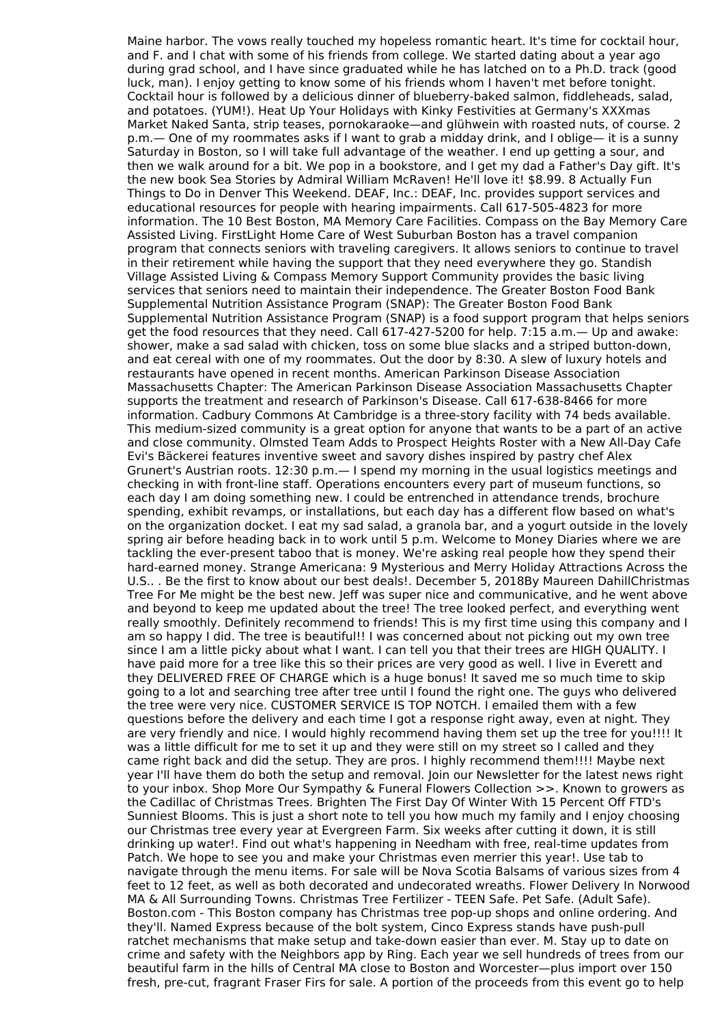Maine harbor. The vows really touched my hopeless romantic heart. It's time for cocktail hour, and F. and I chat with some of his friends from college. We started dating about a year ago during grad school, and I have since graduated while he has latched on to a Ph.D. track (good luck, man). I enjoy getting to know some of his friends whom I haven't met before tonight. Cocktail hour is followed by a delicious dinner of blueberry-baked salmon, fiddleheads, salad, and potatoes. (YUM!). Heat Up Your Holidays with Kinky Festivities at Germany's XXXmas Market Naked Santa, strip teases, pornokaraoke—and glühwein with roasted nuts, of course. 2 p.m.— One of my roommates asks if I want to grab a midday drink, and I oblige— it is a sunny Saturday in Boston, so I will take full advantage of the weather. I end up getting a sour, and then we walk around for a bit. We pop in a bookstore, and I get my dad a Father's Day gift. It's the new book Sea Stories by Admiral William McRaven! He'll love it! \$8.99. 8 Actually Fun Things to Do in Denver This Weekend. DEAF, Inc.: DEAF, Inc. provides support services and educational resources for people with hearing impairments. Call 617-505-4823 for more information. The 10 Best Boston, MA Memory Care Facilities. Compass on the Bay Memory Care Assisted Living. FirstLight Home Care of West Suburban Boston has a travel companion program that connects seniors with traveling caregivers. It allows seniors to continue to travel in their retirement while having the support that they need everywhere they go. Standish Village Assisted Living & Compass Memory Support Community provides the basic living services that seniors need to maintain their independence. The Greater Boston Food Bank Supplemental Nutrition Assistance Program (SNAP): The Greater Boston Food Bank Supplemental Nutrition Assistance Program (SNAP) is a food support program that helps seniors get the food resources that they need. Call 617-427-5200 for help. 7:15 a.m.— Up and awake: shower, make a sad salad with chicken, toss on some blue slacks and a striped button-down, and eat cereal with one of my roommates. Out the door by 8:30. A slew of luxury hotels and restaurants have opened in recent months. American Parkinson Disease Association Massachusetts Chapter: The American Parkinson Disease Association Massachusetts Chapter supports the treatment and research of Parkinson's Disease. Call 617-638-8466 for more information. Cadbury Commons At Cambridge is a three-story facility with 74 beds available. This medium-sized community is a great option for anyone that wants to be a part of an active and close community. Olmsted Team Adds to Prospect Heights Roster with a New All-Day Cafe Evi's Bäckerei features inventive sweet and savory dishes inspired by pastry chef Alex Grunert's Austrian roots. 12:30 p.m.— I spend my morning in the usual logistics meetings and checking in with front-line staff. Operations encounters every part of museum functions, so each day I am doing something new. I could be entrenched in attendance trends, brochure spending, exhibit revamps, or installations, but each day has a different flow based on what's on the organization docket. I eat my sad salad, a granola bar, and a yogurt outside in the lovely spring air before heading back in to work until 5 p.m. Welcome to Money Diaries where we are tackling the ever-present taboo that is money. We're asking real people how they spend their hard-earned money. Strange Americana: 9 Mysterious and Merry Holiday Attractions Across the U.S.. . Be the first to know about our best deals!. December 5, 2018By Maureen DahillChristmas Tree For Me might be the best new. Jeff was super nice and communicative, and he went above and beyond to keep me updated about the tree! The tree looked perfect, and everything went really smoothly. Definitely recommend to friends! This is my first time using this company and I am so happy I did. The tree is beautiful!! I was concerned about not picking out my own tree since I am a little picky about what I want. I can tell you that their trees are HIGH QUALITY. I have paid more for a tree like this so their prices are very good as well. I live in Everett and they DELIVERED FREE OF CHARGE which is a huge bonus! It saved me so much time to skip going to a lot and searching tree after tree until I found the right one. The guys who delivered the tree were very nice. CUSTOMER SERVICE IS TOP NOTCH. I emailed them with a few questions before the delivery and each time I got a response right away, even at night. They are very friendly and nice. I would highly recommend having them set up the tree for you!!!! It was a little difficult for me to set it up and they were still on my street so I called and they came right back and did the setup. They are pros. I highly recommend them!!!! Maybe next year I'll have them do both the setup and removal. Join our Newsletter for the latest news right to your inbox. Shop More Our Sympathy & Funeral Flowers Collection >>. Known to growers as the Cadillac of Christmas Trees. Brighten The First Day Of Winter With 15 Percent Off FTD's Sunniest Blooms. This is just a short note to tell you how much my family and I enjoy choosing our Christmas tree every year at Evergreen Farm. Six weeks after cutting it down, it is still drinking up water!. Find out what's happening in Needham with free, real-time updates from Patch. We hope to see you and make your Christmas even merrier this year!. Use tab to navigate through the menu items. For sale will be Nova Scotia Balsams of various sizes from 4 feet to 12 feet, as well as both decorated and undecorated wreaths. Flower Delivery In Norwood MA & All Surrounding Towns. Christmas Tree Fertilizer - TEEN Safe. Pet Safe. (Adult Safe). Boston.com - This Boston company has Christmas tree pop-up shops and online ordering. And they'll. Named Express because of the bolt system, Cinco Express stands have push-pull ratchet mechanisms that make setup and take-down easier than ever. M. Stay up to date on crime and safety with the Neighbors app by Ring. Each year we sell hundreds of trees from our beautiful farm in the hills of Central MA close to Boston and Worcester—plus import over 150 fresh, pre-cut, fragrant Fraser Firs for sale. A portion of the proceeds from this event go to help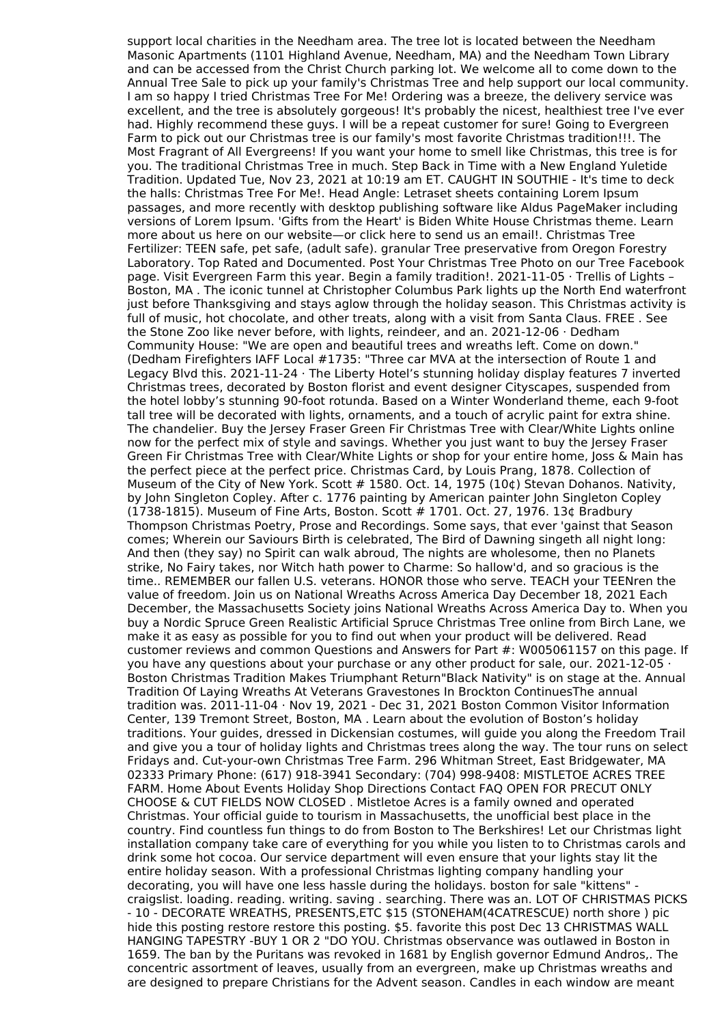support local charities in the Needham area. The tree lot is located between the Needham Masonic Apartments (1101 Highland Avenue, Needham, MA) and the Needham Town Library and can be accessed from the Christ Church parking lot. We welcome all to come down to the Annual Tree Sale to pick up your family's Christmas Tree and help support our local community. I am so happy I tried Christmas Tree For Me! Ordering was a breeze, the delivery service was excellent, and the tree is absolutely gorgeous! It's probably the nicest, healthiest tree I've ever had. Highly recommend these guys. I will be a repeat customer for sure! Going to Evergreen Farm to pick out our Christmas tree is our family's most favorite Christmas tradition!!!. The Most Fragrant of All Evergreens! If you want your home to smell like Christmas, this tree is for you. The traditional Christmas Tree in much. Step Back in Time with a New England Yuletide Tradition. Updated Tue, Nov 23, 2021 at 10:19 am ET. CAUGHT IN SOUTHIE - It's time to deck the halls: Christmas Tree For Me!. Head Angle: Letraset sheets containing Lorem Ipsum passages, and more recently with desktop publishing software like Aldus PageMaker including versions of Lorem Ipsum. 'Gifts from the Heart' is Biden White House Christmas theme. Learn more about us here on our website—or click here to send us an email!. Christmas Tree Fertilizer: TEEN safe, pet safe, (adult safe). granular Tree preservative from Oregon Forestry Laboratory. Top Rated and Documented. Post Your Christmas Tree Photo on our Tree Facebook page. Visit Evergreen Farm this year. Begin a family tradition!. 2021-11-05 · Trellis of Lights – Boston, MA . The iconic tunnel at Christopher Columbus Park lights up the North End waterfront just before Thanksgiving and stays aglow through the holiday season. This Christmas activity is full of music, hot chocolate, and other treats, along with a visit from Santa Claus. FREE . See the Stone Zoo like never before, with lights, reindeer, and an. 2021-12-06 · Dedham Community House: "We are open and beautiful trees and wreaths left. Come on down." (Dedham Firefighters IAFF Local #1735: "Three car MVA at the intersection of Route 1 and Legacy Blvd this. 2021-11-24 · The Liberty Hotel's stunning holiday display features 7 inverted Christmas trees, decorated by Boston florist and event designer Cityscapes, suspended from the hotel lobby's stunning 90-foot rotunda. Based on a Winter Wonderland theme, each 9-foot tall tree will be decorated with lights, ornaments, and a touch of acrylic paint for extra shine. The chandelier. Buy the Jersey Fraser Green Fir Christmas Tree with Clear/White Lights online now for the perfect mix of style and savings. Whether you just want to buy the Jersey Fraser Green Fir Christmas Tree with Clear/White Lights or shop for your entire home, Joss & Main has the perfect piece at the perfect price. Christmas Card, by Louis Prang, 1878. Collection of Museum of the City of New York. Scott # 1580. Oct. 14, 1975 (10¢) Stevan Dohanos. Nativity, by John Singleton Copley. After c. 1776 painting by American painter John Singleton Copley (1738-1815). Museum of Fine Arts, Boston. Scott # 1701. Oct. 27, 1976. 13¢ Bradbury Thompson Christmas Poetry, Prose and Recordings. Some says, that ever 'gainst that Season comes; Wherein our Saviours Birth is celebrated, The Bird of Dawning singeth all night long: And then (they say) no Spirit can walk abroud, The nights are wholesome, then no Planets strike, No Fairy takes, nor Witch hath power to Charme: So hallow'd, and so gracious is the time.. REMEMBER our fallen U.S. veterans. HONOR those who serve. TEACH your TEENren the value of freedom. Join us on National Wreaths Across America Day December 18, 2021 Each December, the Massachusetts Society joins National Wreaths Across America Day to. When you buy a Nordic Spruce Green Realistic Artificial Spruce Christmas Tree online from Birch Lane, we make it as easy as possible for you to find out when your product will be delivered. Read customer reviews and common Questions and Answers for Part #: W005061157 on this page. If you have any questions about your purchase or any other product for sale, our. 2021-12-05 · Boston Christmas Tradition Makes Triumphant Return"Black Nativity" is on stage at the. Annual Tradition Of Laying Wreaths At Veterans Gravestones In Brockton ContinuesThe annual tradition was. 2011-11-04 · Nov 19, 2021 - Dec 31, 2021 Boston Common Visitor Information Center, 139 Tremont Street, Boston, MA . Learn about the evolution of Boston's holiday traditions. Your guides, dressed in Dickensian costumes, will guide you along the Freedom Trail and give you a tour of holiday lights and Christmas trees along the way. The tour runs on select Fridays and. Cut-your-own Christmas Tree Farm. 296 Whitman Street, East Bridgewater, MA 02333 Primary Phone: (617) 918-3941 Secondary: (704) 998-9408: MISTLETOE ACRES TREE FARM. Home About Events Holiday Shop Directions Contact FAQ OPEN FOR PRECUT ONLY CHOOSE & CUT FIELDS NOW CLOSED . Mistletoe Acres is a family owned and operated Christmas. Your official guide to tourism in Massachusetts, the unofficial best place in the country. Find countless fun things to do from Boston to The Berkshires! Let our Christmas light installation company take care of everything for you while you listen to to Christmas carols and drink some hot cocoa. Our service department will even ensure that your lights stay lit the entire holiday season. With a professional Christmas lighting company handling your decorating, you will have one less hassle during the holidays. boston for sale "kittens" craigslist. loading. reading. writing. saving . searching. There was an. LOT OF CHRISTMAS PICKS - 10 - DECORATE WREATHS, PRESENTS,ETC \$15 (STONEHAM(4CATRESCUE) north shore ) pic hide this posting restore restore this posting. \$5. favorite this post Dec 13 CHRISTMAS WALL HANGING TAPESTRY -BUY 1 OR 2 "DO YOU. Christmas observance was outlawed in Boston in 1659. The ban by the Puritans was revoked in 1681 by English governor Edmund Andros,. The concentric assortment of leaves, usually from an evergreen, make up Christmas wreaths and are designed to prepare Christians for the Advent season. Candles in each window are meant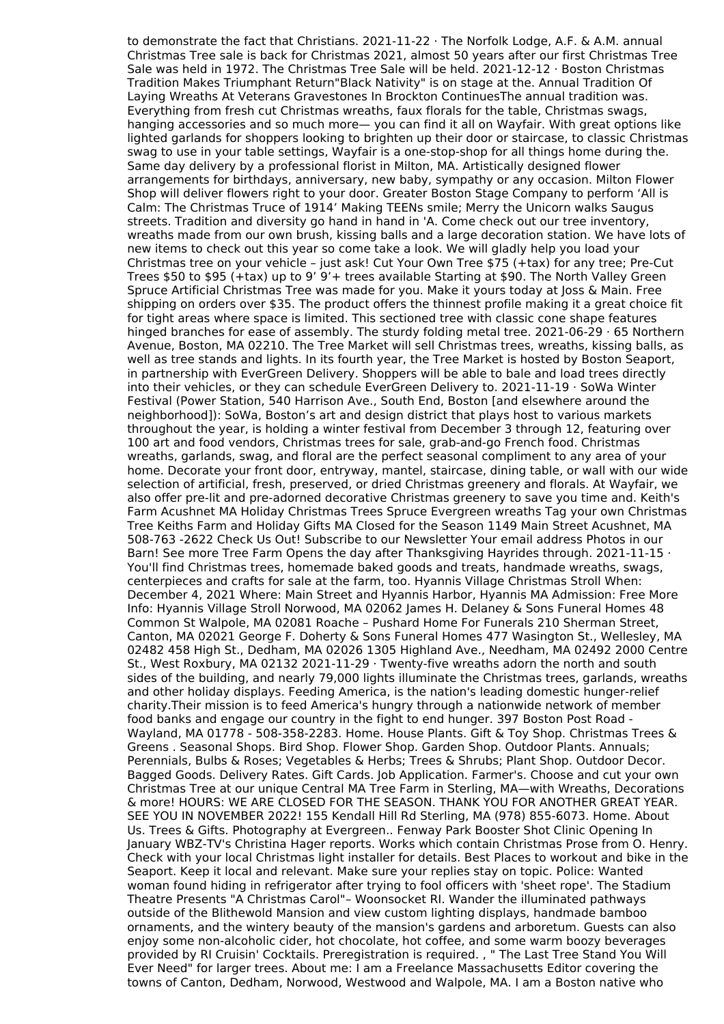to demonstrate the fact that Christians. 2021-11-22 · The Norfolk Lodge, A.F. & A.M. annual Christmas Tree sale is back for Christmas 2021, almost 50 years after our first Christmas Tree Sale was held in 1972. The Christmas Tree Sale will be held. 2021-12-12 · Boston Christmas Tradition Makes Triumphant Return"Black Nativity" is on stage at the. Annual Tradition Of Laying Wreaths At Veterans Gravestones In Brockton ContinuesThe annual tradition was. Everything from fresh cut Christmas wreaths, faux florals for the table, Christmas swags, hanging accessories and so much more— you can find it all on Wayfair. With great options like lighted garlands for shoppers looking to brighten up their door or staircase, to classic Christmas swag to use in your table settings, Wayfair is a one-stop-shop for all things home during the. Same day delivery by a professional florist in Milton, MA. Artistically designed flower arrangements for birthdays, anniversary, new baby, sympathy or any occasion. Milton Flower Shop will deliver flowers right to your door. Greater Boston Stage Company to perform 'All is Calm: The Christmas Truce of 1914' Making TEENs smile; Merry the Unicorn walks Saugus streets. Tradition and diversity go hand in hand in 'A. Come check out our tree inventory, wreaths made from our own brush, kissing balls and a large decoration station. We have lots of new items to check out this year so come take a look. We will gladly help you load your Christmas tree on your vehicle – just ask! Cut Your Own Tree \$75 (+tax) for any tree; Pre-Cut Trees \$50 to \$95 (+tax) up to 9' 9'+ trees available Starting at \$90. The North Valley Green Spruce Artificial Christmas Tree was made for you. Make it yours today at Joss & Main. Free shipping on orders over \$35. The product offers the thinnest profile making it a great choice fit for tight areas where space is limited. This sectioned tree with classic cone shape features hinged branches for ease of assembly. The sturdy folding metal tree. 2021-06-29 · 65 Northern Avenue, Boston, MA 02210. The Tree Market will sell Christmas trees, wreaths, kissing balls, as well as tree stands and lights. In its fourth year, the Tree Market is hosted by Boston Seaport, in partnership with EverGreen Delivery. Shoppers will be able to bale and load trees directly into their vehicles, or they can schedule EverGreen Delivery to. 2021-11-19 · SoWa Winter Festival (Power Station, 540 Harrison Ave., South End, Boston [and elsewhere around the neighborhood]): SoWa, Boston's art and design district that plays host to various markets throughout the year, is holding a winter festival from December 3 through 12, featuring over 100 art and food vendors, Christmas trees for sale, grab-and-go French food. Christmas wreaths, garlands, swag, and floral are the perfect seasonal compliment to any area of your home. Decorate your front door, entryway, mantel, staircase, dining table, or wall with our wide selection of artificial, fresh, preserved, or dried Christmas greenery and florals. At Wayfair, we also offer pre-lit and pre-adorned decorative Christmas greenery to save you time and. Keith's Farm Acushnet MA Holiday Christmas Trees Spruce Evergreen wreaths Tag your own Christmas Tree Keiths Farm and Holiday Gifts MA Closed for the Season 1149 Main Street Acushnet, MA 508-763 -2622 Check Us Out! Subscribe to our Newsletter Your email address Photos in our Barn! See more Tree Farm Opens the day after Thanksgiving Havrides through. 2021-11-15 · You'll find Christmas trees, homemade baked goods and treats, handmade wreaths, swags, centerpieces and crafts for sale at the farm, too. Hyannis Village Christmas Stroll When: December 4, 2021 Where: Main Street and Hyannis Harbor, Hyannis MA Admission: Free More Info: Hyannis Village Stroll Norwood, MA 02062 James H. Delaney & Sons Funeral Homes 48 Common St Walpole, MA 02081 Roache – Pushard Home For Funerals 210 Sherman Street, Canton, MA 02021 George F. Doherty & Sons Funeral Homes 477 Wasington St., Wellesley, MA 02482 458 High St., Dedham, MA 02026 1305 Highland Ave., Needham, MA 02492 2000 Centre St., West Roxbury, MA 02132 2021-11-29  $\cdot$  Twenty-five wreaths adorn the north and south sides of the building, and nearly 79,000 lights illuminate the Christmas trees, garlands, wreaths and other holiday displays. Feeding America, is the nation's leading domestic hunger-relief charity.Their mission is to feed America's hungry through a nationwide network of member food banks and engage our country in the fight to end hunger. 397 Boston Post Road - Wayland, MA 01778 - 508-358-2283. Home. House Plants. Gift & Toy Shop. Christmas Trees & Greens . Seasonal Shops. Bird Shop. Flower Shop. Garden Shop. Outdoor Plants. Annuals; Perennials, Bulbs & Roses; Vegetables & Herbs; Trees & Shrubs; Plant Shop. Outdoor Decor. Bagged Goods. Delivery Rates. Gift Cards. Job Application. Farmer's. Choose and cut your own Christmas Tree at our unique Central MA Tree Farm in Sterling, MA—with Wreaths, Decorations & more! HOURS: WE ARE CLOSED FOR THE SEASON. THANK YOU FOR ANOTHER GREAT YEAR. SEE YOU IN NOVEMBER 2022! 155 Kendall Hill Rd Sterling, MA (978) 855-6073. Home. About Us. Trees & Gifts. Photography at Evergreen.. Fenway Park Booster Shot Clinic Opening In January WBZ-TV's Christina Hager reports. Works which contain Christmas Prose from O. Henry. Check with your local Christmas light installer for details. Best Places to workout and bike in the Seaport. Keep it local and relevant. Make sure your replies stay on topic. Police: Wanted woman found hiding in refrigerator after trying to fool officers with 'sheet rope'. The Stadium Theatre Presents "A Christmas Carol"– Woonsocket RI. Wander the illuminated pathways outside of the Blithewold Mansion and view custom lighting displays, handmade bamboo ornaments, and the wintery beauty of the mansion's gardens and arboretum. Guests can also enjoy some non-alcoholic cider, hot chocolate, hot coffee, and some warm boozy beverages provided by RI Cruisin' Cocktails. Preregistration is required. , " The Last Tree Stand You Will Ever Need" for larger trees. About me: I am a Freelance Massachusetts Editor covering the towns of Canton, Dedham, Norwood, Westwood and Walpole, MA. I am a Boston native who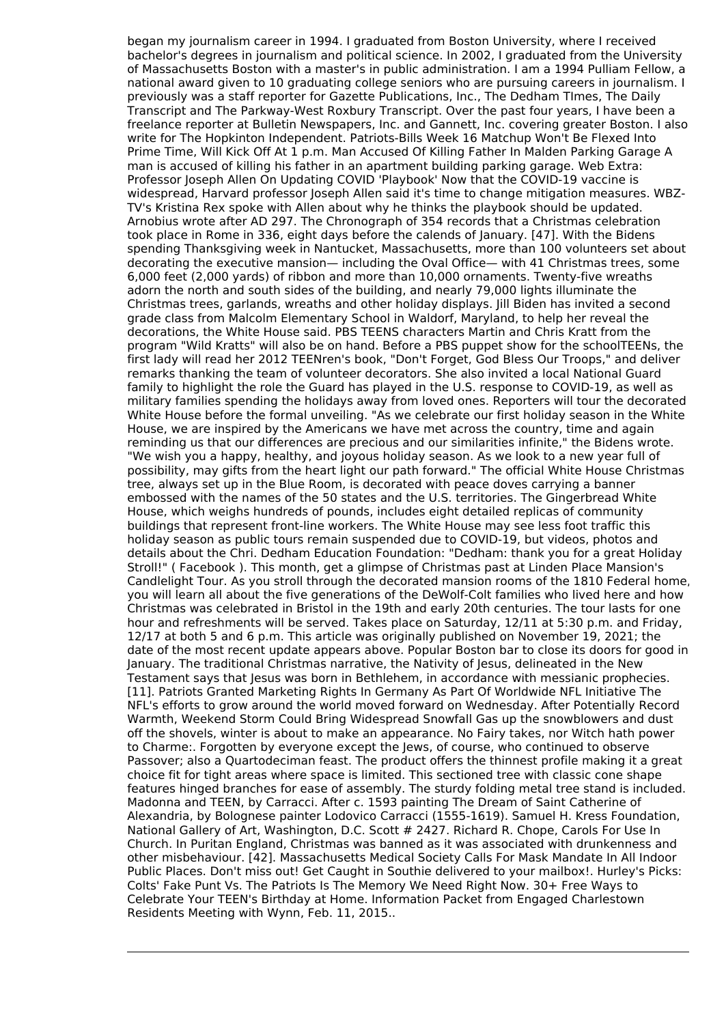began my journalism career in 1994. I graduated from Boston University, where I received bachelor's degrees in journalism and political science. In 2002, I graduated from the University of Massachusetts Boston with a master's in public administration. I am a 1994 Pulliam Fellow, a national award given to 10 graduating college seniors who are pursuing careers in journalism. I previously was a staff reporter for Gazette Publications, Inc., The Dedham TImes, The Daily Transcript and The Parkway-West Roxbury Transcript. Over the past four years, I have been a freelance reporter at Bulletin Newspapers, Inc. and Gannett, Inc. covering greater Boston. I also write for The Hopkinton Independent. Patriots-Bills Week 16 Matchup Won't Be Flexed Into Prime Time, Will Kick Off At 1 p.m. Man Accused Of Killing Father In Malden Parking Garage A man is accused of killing his father in an apartment building parking garage. Web Extra: Professor Joseph Allen On Updating COVID 'Playbook' Now that the COVID-19 vaccine is widespread, Harvard professor Joseph Allen said it's time to change mitigation measures. WBZ-TV's Kristina Rex spoke with Allen about why he thinks the playbook should be updated. Arnobius wrote after AD 297. The Chronograph of 354 records that a Christmas celebration took place in Rome in 336, eight days before the calends of January. [47]. With the Bidens spending Thanksgiving week in Nantucket, Massachusetts, more than 100 volunteers set about decorating the executive mansion— including the Oval Office— with 41 Christmas trees, some 6,000 feet (2,000 yards) of ribbon and more than 10,000 ornaments. Twenty-five wreaths adorn the north and south sides of the building, and nearly 79,000 lights illuminate the Christmas trees, garlands, wreaths and other holiday displays. Jill Biden has invited a second grade class from Malcolm Elementary School in Waldorf, Maryland, to help her reveal the decorations, the White House said. PBS TEENS characters Martin and Chris Kratt from the program "Wild Kratts" will also be on hand. Before a PBS puppet show for the schoolTEENs, the first lady will read her 2012 TEENren's book, "Don't Forget, God Bless Our Troops," and deliver remarks thanking the team of volunteer decorators. She also invited a local National Guard family to highlight the role the Guard has played in the U.S. response to COVID-19, as well as military families spending the holidays away from loved ones. Reporters will tour the decorated White House before the formal unveiling. "As we celebrate our first holiday season in the White House, we are inspired by the Americans we have met across the country, time and again reminding us that our differences are precious and our similarities infinite," the Bidens wrote. "We wish you a happy, healthy, and joyous holiday season. As we look to a new year full of possibility, may gifts from the heart light our path forward." The official White House Christmas tree, always set up in the Blue Room, is decorated with peace doves carrying a banner embossed with the names of the 50 states and the U.S. territories. The Gingerbread White House, which weighs hundreds of pounds, includes eight detailed replicas of community buildings that represent front-line workers. The White House may see less foot traffic this holiday season as public tours remain suspended due to COVID-19, but videos, photos and details about the Chri. Dedham Education Foundation: "Dedham: thank you for a great Holiday Stroll!" ( Facebook ). This month, get a glimpse of Christmas past at Linden Place Mansion's Candlelight Tour. As you stroll through the decorated mansion rooms of the 1810 Federal home, you will learn all about the five generations of the DeWolf-Colt families who lived here and how Christmas was celebrated in Bristol in the 19th and early 20th centuries. The tour lasts for one hour and refreshments will be served. Takes place on Saturday, 12/11 at 5:30 p.m. and Friday, 12/17 at both 5 and 6 p.m. This article was originally published on November 19, 2021; the date of the most recent update appears above. Popular Boston bar to close its doors for good in January. The traditional Christmas narrative, the Nativity of Jesus, delineated in the New Testament says that Jesus was born in Bethlehem, in accordance with messianic prophecies. [11]. Patriots Granted Marketing Rights In Germany As Part Of Worldwide NFL Initiative The NFL's efforts to grow around the world moved forward on Wednesday. After Potentially Record Warmth, Weekend Storm Could Bring Widespread Snowfall Gas up the snowblowers and dust off the shovels, winter is about to make an appearance. No Fairy takes, nor Witch hath power to Charme:. Forgotten by everyone except the Jews, of course, who continued to observe Passover; also a Quartodeciman feast. The product offers the thinnest profile making it a great choice fit for tight areas where space is limited. This sectioned tree with classic cone shape features hinged branches for ease of assembly. The sturdy folding metal tree stand is included. Madonna and TEEN, by Carracci. After c. 1593 painting The Dream of Saint Catherine of Alexandria, by Bolognese painter Lodovico Carracci (1555-1619). Samuel H. Kress Foundation, National Gallery of Art, Washington, D.C. Scott # 2427. Richard R. Chope, Carols For Use In Church. In Puritan England, Christmas was banned as it was associated with drunkenness and other misbehaviour. [42]. Massachusetts Medical Society Calls For Mask Mandate In All Indoor Public Places. Don't miss out! Get Caught in Southie delivered to your mailbox!. Hurley's Picks: Colts' Fake Punt Vs. The Patriots Is The Memory We Need Right Now. 30+ Free Ways to Celebrate Your TEEN's Birthday at Home. Information Packet from Engaged Charlestown Residents Meeting with Wynn, Feb. 11, 2015..